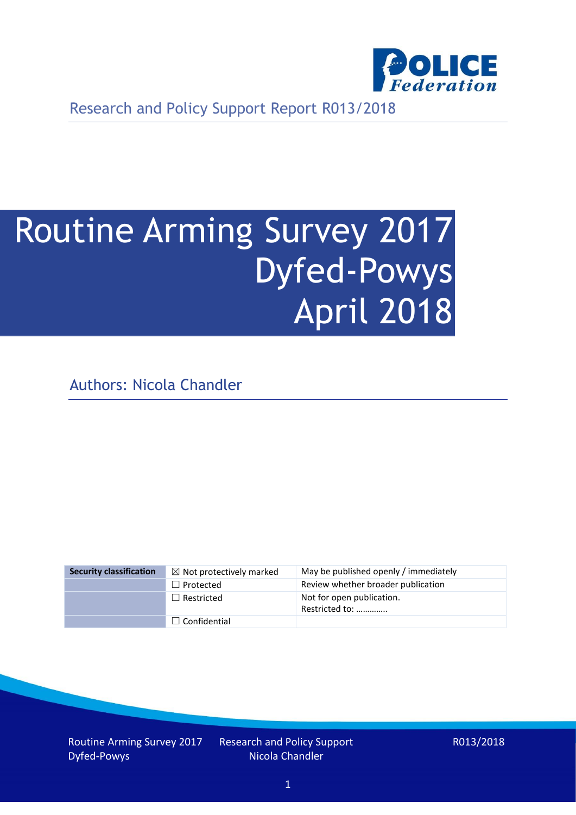

Research and Policy Support Report R013/2018

# Routine Arming Survey 2017 Dyfed-Powys April 2018

Authors: Nicola Chandler

| <b>Security classification</b> | $\boxtimes$ Not protectively marked | May be published openly / immediately       |
|--------------------------------|-------------------------------------|---------------------------------------------|
|                                | $\Box$ Protected                    | Review whether broader publication          |
|                                | $\Box$ Restricted                   | Not for open publication.<br>Restricted to: |
|                                | $\Box$ Confidential                 |                                             |

Routine Arming Survey 2017 Dyfed-Powys

Research and Policy Support Nicola Chandler

R013/2018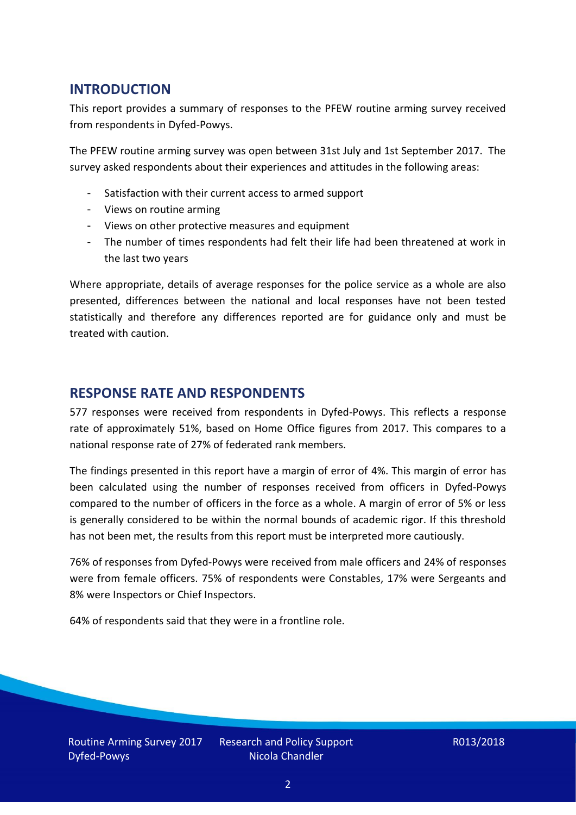## **INTRODUCTION**

This report provides a summary of responses to the PFEW routine arming survey received from respondents in Dyfed-Powys.

The PFEW routine arming survey was open between 31st July and 1st September 2017. The survey asked respondents about their experiences and attitudes in the following areas:

- Satisfaction with their current access to armed support
- Views on routine arming
- Views on other protective measures and equipment
- The number of times respondents had felt their life had been threatened at work in the last two years

Where appropriate, details of average responses for the police service as a whole are also presented, differences between the national and local responses have not been tested statistically and therefore any differences reported are for guidance only and must be treated with caution.

#### **RESPONSE RATE AND RESPONDENTS**

577 responses were received from respondents in Dyfed-Powys. This reflects a response rate of approximately 51%, based on Home Office figures from 2017. This compares to a national response rate of 27% of federated rank members.

The findings presented in this report have a margin of error of 4%. This margin of error has been calculated using the number of responses received from officers in Dyfed-Powys compared to the number of officers in the force as a whole. A margin of error of 5% or less is generally considered to be within the normal bounds of academic rigor. If this threshold has not been met, the results from this report must be interpreted more cautiously.

76% of responses from Dyfed-Powys were received from male officers and 24% of responses were from female officers. 75% of respondents were Constables, 17% were Sergeants and 8% were Inspectors or Chief Inspectors.

64% of respondents said that they were in a frontline role.

Routine Arming Survey 2017 Dyfed-Powys

Research and Policy Support Nicola Chandler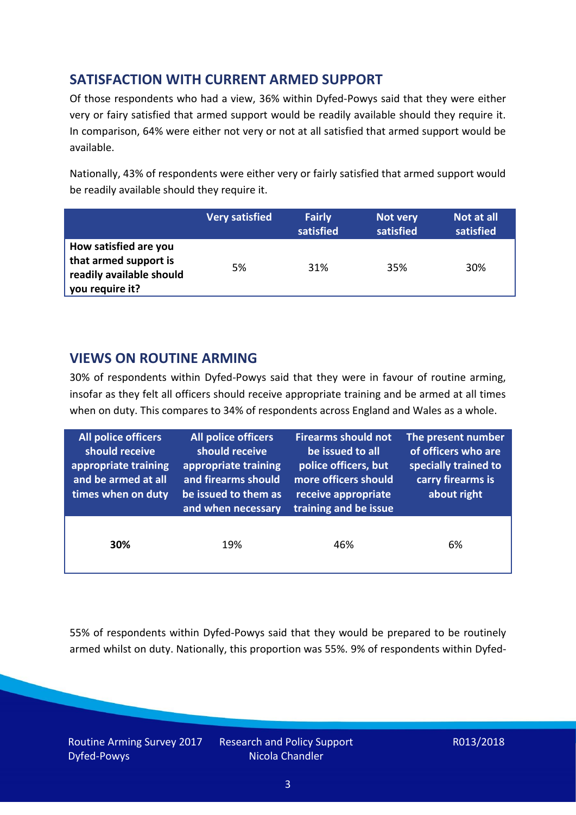# **SATISFACTION WITH CURRENT ARMED SUPPORT**

Of those respondents who had a view, 36% within Dyfed-Powys said that they were either very or fairy satisfied that armed support would be readily available should they require it. In comparison, 64% were either not very or not at all satisfied that armed support would be available.

Nationally, 43% of respondents were either very or fairly satisfied that armed support would be readily available should they require it.

|                                                                                               | <b>Very satisfied</b> | <b>Fairly</b><br>satisfied | Not very<br>satisfied | Not at all<br>satisfied |
|-----------------------------------------------------------------------------------------------|-----------------------|----------------------------|-----------------------|-------------------------|
| How satisfied are you<br>that armed support is<br>readily available should<br>you require it? | 5%                    | 31%                        | 35%                   | 30%                     |

### **VIEWS ON ROUTINE ARMING**

30% of respondents within Dyfed-Powys said that they were in favour of routine arming, insofar as they felt all officers should receive appropriate training and be armed at all times when on duty. This compares to 34% of respondents across England and Wales as a whole.

| <b>All police officers</b><br>should receive<br>appropriate training<br>and be armed at all<br>times when on duty | All police officers<br>should receive<br>appropriate training<br>and firearms should<br>be issued to them as<br>and when necessary | <b>Firearms should not</b><br>be issued to all<br>police officers, but<br>more officers should<br>receive appropriate<br>training and be issue | The present number<br>of officers who are<br>specially trained to<br>carry firearms is<br>about right |  |
|-------------------------------------------------------------------------------------------------------------------|------------------------------------------------------------------------------------------------------------------------------------|------------------------------------------------------------------------------------------------------------------------------------------------|-------------------------------------------------------------------------------------------------------|--|
| 30%                                                                                                               | 19%                                                                                                                                | 46%                                                                                                                                            | 6%                                                                                                    |  |

55% of respondents within Dyfed-Powys said that they would be prepared to be routinely armed whilst on duty. Nationally, this proportion was 55%. 9% of respondents within Dyfed-

Routine Arming Survey 2017 Dyfed-Powys

Research and Policy Support Nicola Chandler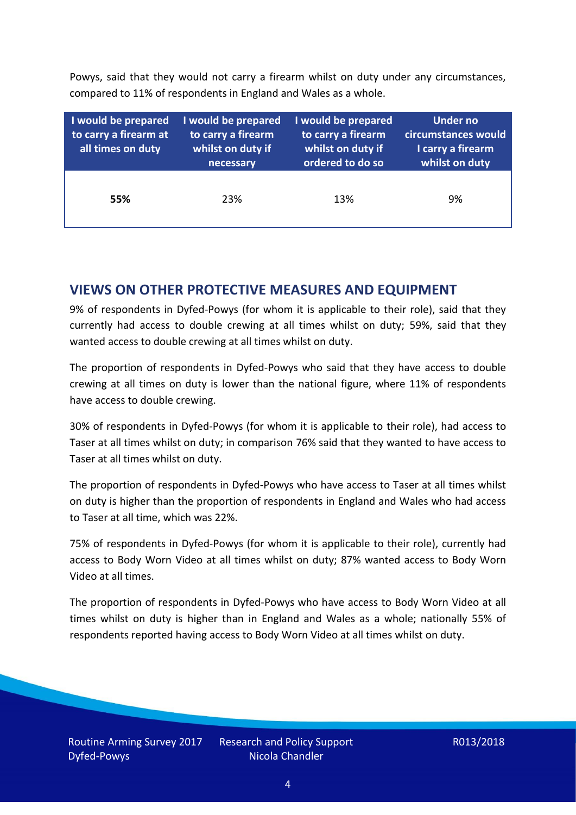Powys, said that they would not carry a firearm whilst on duty under any circumstances, compared to 11% of respondents in England and Wales as a whole.

| I would be prepared<br>to carry a firearm at<br>all times on duty | I would be prepared<br>to carry a firearm<br>whilst on duty if<br>necessary | I would be prepared<br>to carry a firearm<br>whilst on duty if<br>ordered to do so | Under no<br>circumstances would<br>I carry a firearm<br>whilst on duty |  |  |
|-------------------------------------------------------------------|-----------------------------------------------------------------------------|------------------------------------------------------------------------------------|------------------------------------------------------------------------|--|--|
| 55%                                                               | 23%                                                                         | 13%                                                                                | 9%                                                                     |  |  |

#### **VIEWS ON OTHER PROTECTIVE MEASURES AND EQUIPMENT**

9% of respondents in Dyfed-Powys (for whom it is applicable to their role), said that they currently had access to double crewing at all times whilst on duty; 59%, said that they wanted access to double crewing at all times whilst on duty.

The proportion of respondents in Dyfed-Powys who said that they have access to double crewing at all times on duty is lower than the national figure, where 11% of respondents have access to double crewing.

30% of respondents in Dyfed-Powys (for whom it is applicable to their role), had access to Taser at all times whilst on duty; in comparison 76% said that they wanted to have access to Taser at all times whilst on duty.

The proportion of respondents in Dyfed-Powys who have access to Taser at all times whilst on duty is higher than the proportion of respondents in England and Wales who had access to Taser at all time, which was 22%.

75% of respondents in Dyfed-Powys (for whom it is applicable to their role), currently had access to Body Worn Video at all times whilst on duty; 87% wanted access to Body Worn Video at all times.

The proportion of respondents in Dyfed-Powys who have access to Body Worn Video at all times whilst on duty is higher than in England and Wales as a whole; nationally 55% of respondents reported having access to Body Worn Video at all times whilst on duty.

Research and Policy Support Nicola Chandler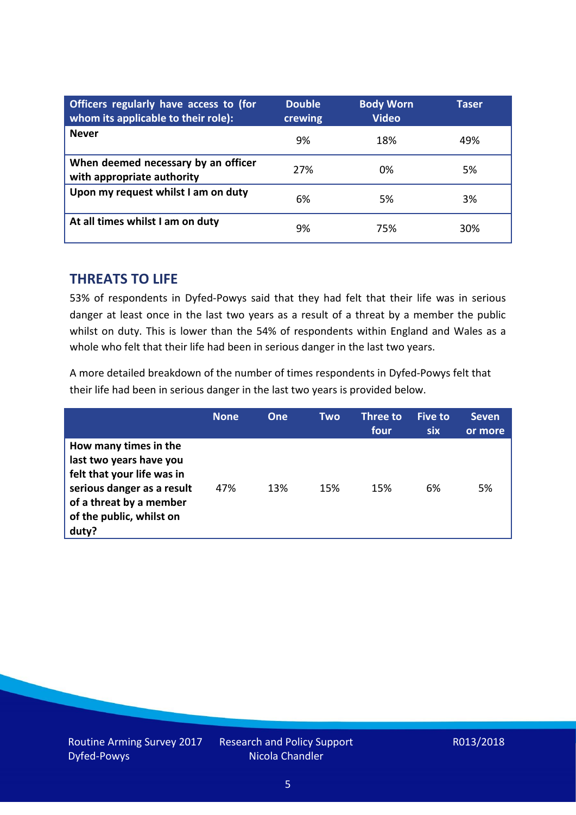| Officers regularly have access to (for<br>whom its applicable to their role): | <b>Double</b><br>crewing | <b>Body Worn</b><br><b>Video</b> | Taser |
|-------------------------------------------------------------------------------|--------------------------|----------------------------------|-------|
| <b>Never</b>                                                                  | 9%                       | 18%                              | 49%   |
| When deemed necessary by an officer<br>with appropriate authority             | 27%                      | 0%                               | 5%    |
| Upon my request whilst I am on duty                                           | 6%                       | 5%                               | 3%    |
| At all times whilst I am on duty                                              | 9%                       | 75%                              | 30%   |

#### **THREATS TO LIFE**

53% of respondents in Dyfed-Powys said that they had felt that their life was in serious danger at least once in the last two years as a result of a threat by a member the public whilst on duty. This is lower than the 54% of respondents within England and Wales as a whole who felt that their life had been in serious danger in the last two years.

A more detailed breakdown of the number of times respondents in Dyfed-Powys felt that their life had been in serious danger in the last two years is provided below.

|                                                                                                                                                                              | <b>None</b> | One | Two | Three to<br>four | <b>Five to</b><br><b>six</b> | <b>Seven</b><br>or more |
|------------------------------------------------------------------------------------------------------------------------------------------------------------------------------|-------------|-----|-----|------------------|------------------------------|-------------------------|
| How many times in the<br>last two years have you<br>felt that your life was in<br>serious danger as a result<br>of a threat by a member<br>of the public, whilst on<br>duty? | 47%         | 13% | 15% | 15%              | 6%                           | 5%                      |

Research and Policy Support Nicola Chandler

#### R013/2018